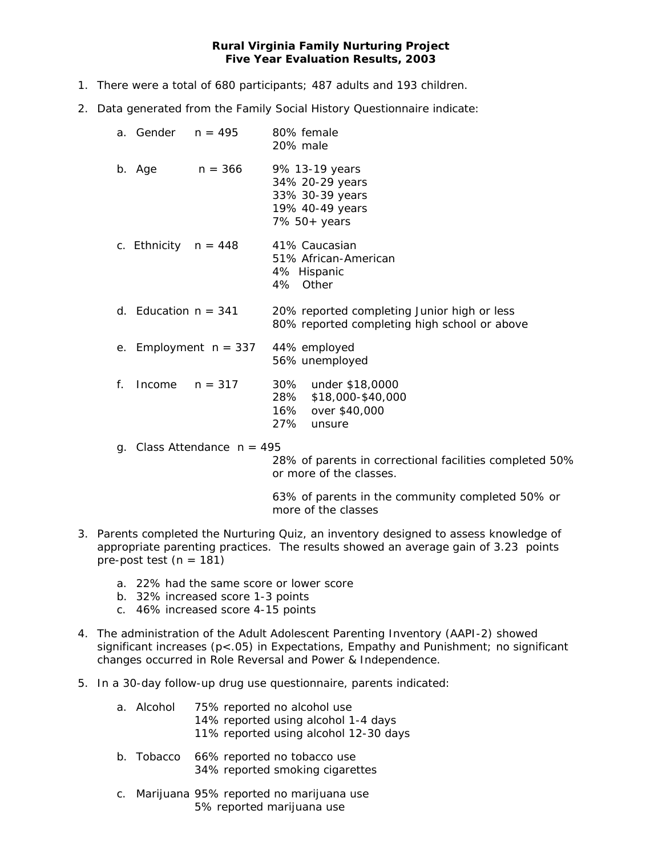## **Rural Virginia Family Nurturing Project Five Year Evaluation Results, 2003**

- 1. There were a total of 680 participants; 487 adults and 193 children.
- 2. Data generated from the Family Social History Questionnaire indicate:

|    | a. Gender              | n = 495                    | 80% female<br>20% male                                                                      |
|----|------------------------|----------------------------|---------------------------------------------------------------------------------------------|
|    | b. Age                 | $n = 366$                  | 9% 13-19 years<br>34% 20-29 years<br>33% 30-39 years<br>19% 40-49 years<br>7% 50+ years     |
|    | c. Ethnicity $n = 448$ |                            | 41% Caucasian<br>51% African-American<br>4% Hispanic<br>4% Other                            |
|    | d. Education $n = 341$ |                            | 20% reported completing Junior high or less<br>80% reported completing high school or above |
|    |                        | e. Employment $n = 337$    | 44% employed<br>56% unemployed                                                              |
| f. | Income                 | $n = 317$                  | 30%<br>under \$18,0000<br>\$18,000-\$40,000<br>28%<br>16% over \$40,000<br>27%<br>unsure    |
| q. |                        | Class Attendance $n = 495$ | 28% of parents in correctional facilities completed 50%<br>or more of the classes.          |

 63% of parents in the community completed 50% or more of the classes

- 3. Parents completed the *Nurturing Quiz*, an inventory designed to assess knowledge of appropriate parenting practices. The results showed an average gain of 3.23 points pre-post test ( $n = 181$ )
	- a. 22% had the same score or lower score
	- b. 32% increased score 1-3 points
	- c. 46% increased score 4-15 points
- 4. The administration of the Adult *Adolescent Parenting Inventory (AAPI-2)* showed significant increases (p<.05) in Expectations, Empathy and Punishment; no significant changes occurred in Role Reversal and Power & Independence.
- 5. In a 30-day follow-up drug use questionnaire, parents indicated:
	- a. Alcohol 75% reported no alcohol use 14% reported using alcohol 1-4 days 11% reported using alcohol 12-30 days
	- b. Tobacco 66% reported no tobacco use 34% reported smoking cigarettes
	- c. Marijuana 95% reported no marijuana use 5% reported marijuana use